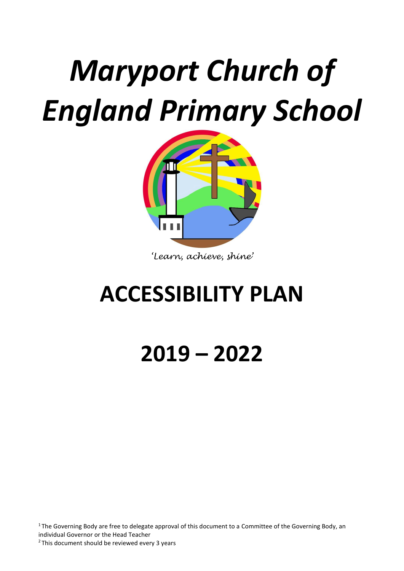# *Maryport Church of England Primary School*



*'Learn, achieve, shine'*

# **ACCESSIBILITY PLAN**

**2019 – 2022**

<sup>1</sup>The Governing Body are free to delegate approval of this document to a Committee of the Governing Body, an individual Governor or the Head Teacher <sup>2</sup>This document should be reviewed every 3 years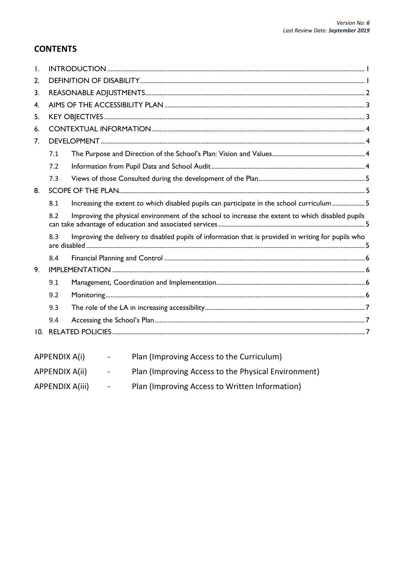### **CONTENTS**

| $\mathbf{L}$   |                                                                                                         |                                                                                                     |  |  |  |  |
|----------------|---------------------------------------------------------------------------------------------------------|-----------------------------------------------------------------------------------------------------|--|--|--|--|
| 2.             |                                                                                                         |                                                                                                     |  |  |  |  |
| 3 <sub>1</sub> |                                                                                                         |                                                                                                     |  |  |  |  |
| 4 <sup>1</sup> |                                                                                                         |                                                                                                     |  |  |  |  |
| 5.             |                                                                                                         |                                                                                                     |  |  |  |  |
| 6.             |                                                                                                         |                                                                                                     |  |  |  |  |
| 7 <sub>1</sub> |                                                                                                         |                                                                                                     |  |  |  |  |
|                | 7.1                                                                                                     |                                                                                                     |  |  |  |  |
|                | 7.2                                                                                                     |                                                                                                     |  |  |  |  |
|                | 7.3                                                                                                     |                                                                                                     |  |  |  |  |
| 8.             |                                                                                                         |                                                                                                     |  |  |  |  |
|                | 8.1                                                                                                     | Increasing the extent to which disabled pupils can participate in the school curriculum 5           |  |  |  |  |
|                | Improving the physical environment of the school to increase the extent to which disabled pupils<br>8.2 |                                                                                                     |  |  |  |  |
|                | 8.3                                                                                                     | Improving the delivery to disabled pupils of information that is provided in writing for pupils who |  |  |  |  |
|                | 8.4                                                                                                     |                                                                                                     |  |  |  |  |
| 9.             |                                                                                                         |                                                                                                     |  |  |  |  |
|                | 9.1                                                                                                     |                                                                                                     |  |  |  |  |
|                | 9.2                                                                                                     |                                                                                                     |  |  |  |  |
|                | 9.3                                                                                                     |                                                                                                     |  |  |  |  |
|                | 9.4                                                                                                     |                                                                                                     |  |  |  |  |
|                |                                                                                                         |                                                                                                     |  |  |  |  |
|                |                                                                                                         |                                                                                                     |  |  |  |  |
|                | <b>APPENDIX A(i)</b>                                                                                    | Plan (Improving Access to the Curriculum)                                                           |  |  |  |  |

| APPENDIX A(ii) | Plan (Improving Access to the Physical Environment) |  |
|----------------|-----------------------------------------------------|--|
|----------------|-----------------------------------------------------|--|

APPENDIX A(iii) - Plan (Improving Access to Written Information)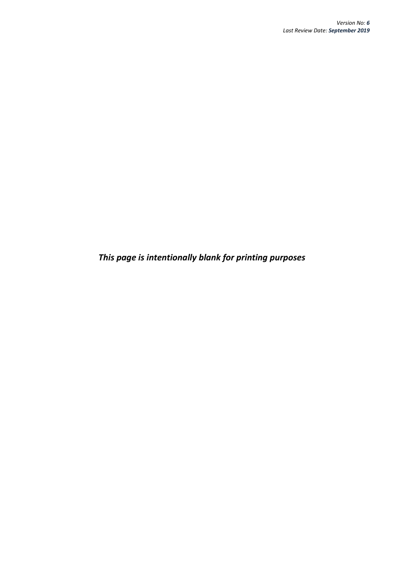*This page is intentionally blank for printing purposes*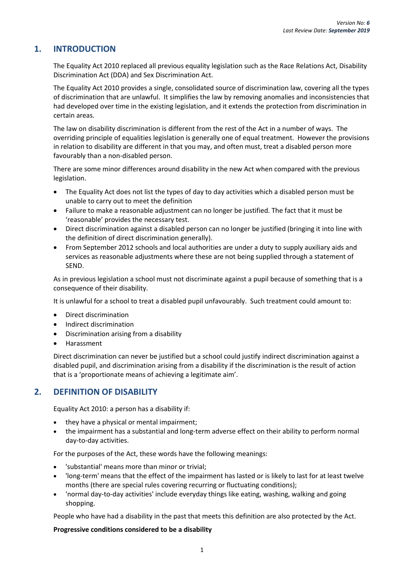#### <span id="page-4-0"></span>**1. INTRODUCTION**

The Equality Act 2010 replaced all previous equality legislation such as the Race Relations Act, Disability Discrimination Act (DDA) and Sex Discrimination Act.

The Equality Act 2010 provides a single, consolidated source of discrimination law, covering all the types of discrimination that are unlawful. It simplifies the law by removing anomalies and inconsistencies that had developed over time in the existing legislation, and it extends the protection from discrimination in certain areas.

The law on disability discrimination is different from the rest of the Act in a number of ways. The overriding principle of equalities legislation is generally one of equal treatment. However the provisions in relation to disability are different in that you may, and often must, treat a disabled person more favourably than a non-disabled person.

There are some minor differences around disability in the new Act when compared with the previous legislation.

- The Equality Act does not list the types of day to day activities which a disabled person must be unable to carry out to meet the definition
- Failure to make a reasonable adjustment can no longer be justified. The fact that it must be 'reasonable' provides the necessary test.
- Direct discrimination against a disabled person can no longer be justified (bringing it into line with the definition of direct discrimination generally).
- From September 2012 schools and local authorities are under a duty to supply auxiliary aids and services as reasonable adjustments where these are not being supplied through a statement of SEND.

As in previous legislation a school must not discriminate against a pupil because of something that is a consequence of their disability.

It is unlawful for a school to treat a disabled pupil unfavourably. Such treatment could amount to:

- Direct discrimination
- Indirect discrimination
- Discrimination arising from a disability
- Harassment

Direct discrimination can never be justified but a school could justify indirect discrimination against a disabled pupil, and discrimination arising from a disability if the discrimination is the result of action that is a 'proportionate means of achieving a legitimate aim'.

#### <span id="page-4-1"></span>**2. DEFINITION OF DISABILITY**

Equality Act 2010: a person has a disability if:

- they have a physical or mental impairment;
- the impairment has a substantial and long-term adverse effect on their ability to perform normal day-to-day activities.

For the purposes of the Act, these words have the following meanings:

- 'substantial' means more than minor or trivial;
- 'long-term' means that the effect of the impairment has lasted or is likely to last for at least twelve months (there are special rules covering recurring or fluctuating conditions);
- 'normal day-to-day activities' include everyday things like eating, washing, walking and going shopping.

People who have had a disability in the past that meets this definition are also protected by the Act.

#### **Progressive conditions considered to be a disability**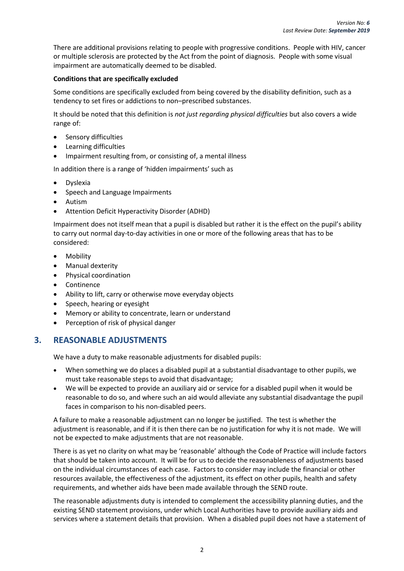There are additional provisions relating to people with progressive conditions. People with HIV, cancer or multiple sclerosis are protected by the Act from the point of diagnosis. People with some visual impairment are automatically deemed to be disabled.

#### **Conditions that are specifically excluded**

Some conditions are specifically excluded from being covered by the disability definition, such as a tendency to set fires or addictions to non–prescribed substances.

It should be noted that this definition is *not just regarding physical difficulties* but also covers a wide range of:

- Sensory difficulties
- Learning difficulties
- Impairment resulting from, or consisting of, a mental illness

In addition there is a range of 'hidden impairments' such as

- Dyslexia
- Speech and Language Impairments
- Autism
- Attention Deficit Hyperactivity Disorder (ADHD)

Impairment does not itself mean that a pupil is disabled but rather it is the effect on the pupil's ability to carry out normal day-to-day activities in one or more of the following areas that has to be considered:

- Mobility
- Manual dexterity
- Physical coordination
- Continence
- Ability to lift, carry or otherwise move everyday objects
- Speech, hearing or eyesight
- Memory or ability to concentrate, learn or understand
- Perception of risk of physical danger

#### <span id="page-5-0"></span>**3. REASONABLE ADJUSTMENTS**

We have a duty to make reasonable adjustments for disabled pupils:

- When something we do places a disabled pupil at a substantial disadvantage to other pupils, we must take reasonable steps to avoid that disadvantage;
- We will be expected to provide an auxiliary aid or service for a disabled pupil when it would be reasonable to do so, and where such an aid would alleviate any substantial disadvantage the pupil faces in comparison to his non-disabled peers.

A failure to make a reasonable adjustment can no longer be justified. The test is whether the adjustment is reasonable, and if it is then there can be no justification for why it is not made. We will not be expected to make adjustments that are not reasonable.

There is as yet no clarity on what may be 'reasonable' although the Code of Practice will include factors that should be taken into account. It will be for us to decide the reasonableness of adjustments based on the individual circumstances of each case. Factors to consider may include the financial or other resources available, the effectiveness of the adjustment, its effect on other pupils, health and safety requirements, and whether aids have been made available through the SEND route.

The reasonable adjustments duty is intended to complement the accessibility planning duties, and the existing SEND statement provisions, under which Local Authorities have to provide auxiliary aids and services where a statement details that provision. When a disabled pupil does not have a statement of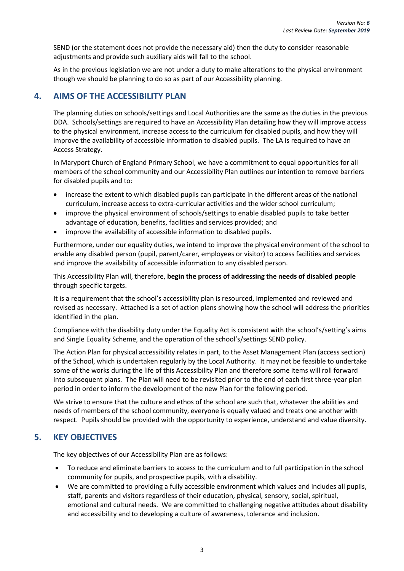SEND (or the statement does not provide the necessary aid) then the duty to consider reasonable adjustments and provide such auxiliary aids will fall to the school.

As in the previous legislation we are not under a duty to make alterations to the physical environment though we should be planning to do so as part of our Accessibility planning.

#### <span id="page-6-0"></span>**4. AIMS OF THE ACCESSIBILITY PLAN**

The planning duties on schools/settings and Local Authorities are the same as the duties in the previous DDA. Schools/settings are required to have an Accessibility Plan detailing how they will improve access to the physical environment, increase access to the curriculum for disabled pupils, and how they will improve the availability of accessible information to disabled pupils. The LA is required to have an Access Strategy.

In Maryport Church of England Primary School, we have a commitment to equal opportunities for all members of the school community and our Accessibility Plan outlines our intention to remove barriers for disabled pupils and to:

- increase the extent to which disabled pupils can participate in the different areas of the national curriculum, increase access to extra-curricular activities and the wider school curriculum;
- improve the physical environment of schools/settings to enable disabled pupils to take better advantage of education, benefits, facilities and services provided; and
- improve the availability of accessible information to disabled pupils.

Furthermore, under our equality duties, we intend to improve the physical environment of the school to enable any disabled person (pupil, parent/carer, employees or visitor) to access facilities and services and improve the availability of accessible information to any disabled person.

This Accessibility Plan will, therefore, **begin the process of addressing the needs of disabled people**  through specific targets.

It is a requirement that the school's accessibility plan is resourced, implemented and reviewed and revised as necessary. Attached is a set of action plans showing how the school will address the priorities identified in the plan.

Compliance with the disability duty under the Equality Act is consistent with the school's/setting's aims and Single Equality Scheme, and the operation of the school's/settings SEND policy.

The Action Plan for physical accessibility relates in part, to the Asset Management Plan (access section) of the School, which is undertaken regularly by the Local Authority. It may not be feasible to undertake some of the works during the life of this Accessibility Plan and therefore some items will roll forward into subsequent plans. The Plan will need to be revisited prior to the end of each first three-year plan period in order to inform the development of the new Plan for the following period.

We strive to ensure that the culture and ethos of the school are such that, whatever the abilities and needs of members of the school community, everyone is equally valued and treats one another with respect. Pupils should be provided with the opportunity to experience, understand and value diversity.

#### <span id="page-6-1"></span>**5. KEY OBJECTIVES**

The key objectives of our Accessibility Plan are as follows:

- To reduce and eliminate barriers to access to the curriculum and to full participation in the school community for pupils, and prospective pupils, with a disability.
- We are committed to providing a fully accessible environment which values and includes all pupils, staff, parents and visitors regardless of their education, physical, sensory, social, spiritual, emotional and cultural needs. We are committed to challenging negative attitudes about disability and accessibility and to developing a culture of awareness, tolerance and inclusion.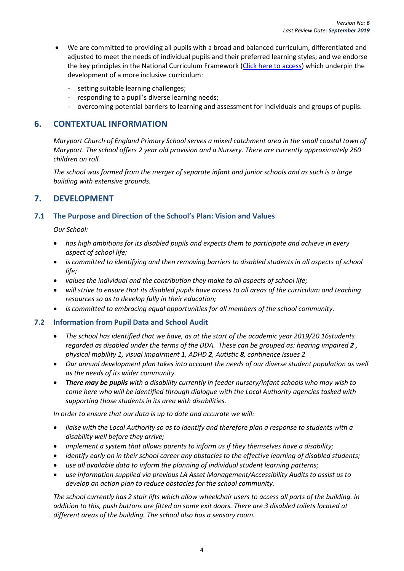- We are committed to providing all pupils with a broad and balanced curriculum, differentiated and adjusted to meet the needs of individual pupils and their preferred learning styles; and we endorse the key principles in the National Curriculum Framework [\(Click here to access\)](http://www.education.gov.uk/schools/teachingandlearning/curriculum) which underpin the development of a more inclusive curriculum:
	- setting suitable learning challenges;
	- responding to a pupil's diverse learning needs;
	- overcoming potential barriers to learning and assessment for individuals and groups of pupils.

#### <span id="page-7-0"></span>**6. CONTEXTUAL INFORMATION**

*Maryport Church of England Primary School serves a mixed catchment area in the small coastal town of Maryport. The school offers 2 year old provision and a Nursery. There are currently approximately 260 children on roll.* 

*The school was formed from the merger of separate infant and junior schools and as such is a large building with extensive grounds.*

#### <span id="page-7-1"></span>**7. DEVELOPMENT**

#### <span id="page-7-2"></span>**7.1 The Purpose and Direction of the School's Plan: Vision and Values**

*Our School:*

- *has high ambitions for its disabled pupils and expects them to participate and achieve in every aspect of school life;*
- *is committed to identifying and then removing barriers to disabled students in all aspects of school life;*
- *values the individual and the contribution they make to all aspects of school life;*
- *will strive to ensure that its disabled pupils have access to all areas of the curriculum and teaching resources so as to develop fully in their education;*
- *is committed to embracing equal opportunities for all members of the school community.*

#### <span id="page-7-3"></span>**7.2 Information from Pupil Data and School Audit**

- *The school has identified that we have, as at the start of the academic year 2019/20 16students regarded as disabled under the terms of the DDA. These can be grouped as: hearing impaired 2 , physical mobility 1, visual impairment 1, ADHD 2, Autistic 8, continence issues 2*
- *Our annual development plan takes into account the needs of our diverse student population as well as the needs of its wider community.*
- *There may be pupils with a disability currently in feeder nursery/infant schools who may wish to come here who will be identified through dialogue with the Local Authority agencies tasked with supporting those students in its area with disabilities.*

*In order to ensure that our data is up to date and accurate we will:* 

- *liaise with the Local Authority so as to identify and therefore plan a response to students with a disability well before they arrive;*
- *implement a system that allows parents to inform us if they themselves have a disability;*
- *identify early on in their school career any obstacles to the effective learning of disabled students;*
- *use all available data to inform the planning of individual student learning patterns;*
- *use information supplied via previous LA Asset Management/Accessibility Audits to assist us to develop an action plan to reduce obstacles for the school community.*

*The school currently has 2 stair lifts which allow wheelchair users to access all parts of the building. In addition to this, push buttons are fitted on some exit doors. There are 3 disabled toilets located at different areas of the building. The school also has a sensory room.*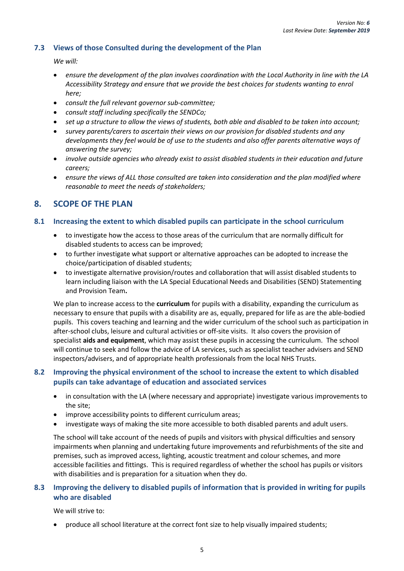#### <span id="page-8-0"></span>**7.3 Views of those Consulted during the development of the Plan**

*We will:* 

- *ensure the development of the plan involves coordination with the Local Authority in line with the LA Accessibility Strategy and ensure that we provide the best choices for students wanting to enrol here;*
- *consult the full relevant governor sub-committee;*
- *consult staff including specifically the SENDCo;*
- *set up a structure to allow the views of students, both able and disabled to be taken into account;*
- *survey parents/carers to ascertain their views on our provision for disabled students and any developments they feel would be of use to the students and also offer parents alternative ways of answering the survey;*
- *involve outside agencies who already exist to assist disabled students in their education and future careers;*
- *ensure the views of ALL those consulted are taken into consideration and the plan modified where reasonable to meet the needs of stakeholders;*

#### <span id="page-8-1"></span>**8. SCOPE OF THE PLAN**

#### <span id="page-8-2"></span>**8.1 Increasing the extent to which disabled pupils can participate in the school curriculum**

- to investigate how the access to those areas of the curriculum that are normally difficult for disabled students to access can be improved;
- to further investigate what support or alternative approaches can be adopted to increase the choice/participation of disabled students;
- to investigate alternative provision/routes and collaboration that will assist disabled students to learn including liaison with the LA Special Educational Needs and Disabilities (SEND) Statementing and Provision Team**.**

We plan to increase access to the **curriculum** for pupils with a disability, expanding the curriculum as necessary to ensure that pupils with a disability are as, equally, prepared for life as are the able-bodied pupils. This covers teaching and learning and the wider curriculum of the school such as participation in after-school clubs, leisure and cultural activities or off-site visits. It also covers the provision of specialist **aids and equipment**, which may assist these pupils in accessing the curriculum. The school will continue to seek and follow the advice of LA services, such as specialist teacher advisers and SEND inspectors/advisers, and of appropriate health professionals from the local NHS Trusts.

#### <span id="page-8-3"></span>**8.2 Improving the physical environment of the school to increase the extent to which disabled pupils can take advantage of education and associated services**

- in consultation with the LA (where necessary and appropriate) investigate various improvements to the site;
- improve accessibility points to different curriculum areas;
- investigate ways of making the site more accessible to both disabled parents and adult users.

The school will take account of the needs of pupils and visitors with physical difficulties and sensory impairments when planning and undertaking future improvements and refurbishments of the site and premises, such as improved access, lighting, acoustic treatment and colour schemes, and more accessible facilities and fittings. This is required regardless of whether the school has pupils or visitors with disabilities and is preparation for a situation when they do.

#### <span id="page-8-4"></span>**8.3 Improving the delivery to disabled pupils of information that is provided in writing for pupils who are disabled**

We will strive to:

produce all school literature at the correct font size to help visually impaired students;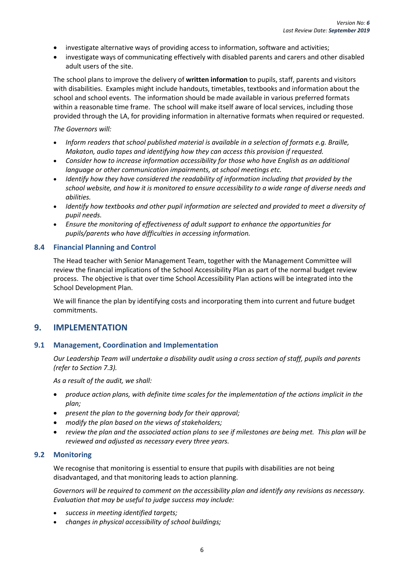- investigate alternative ways of providing access to information, software and activities;
- investigate ways of communicating effectively with disabled parents and carers and other disabled adult users of the site.

The school plans to improve the delivery of **written information** to pupils, staff, parents and visitors with disabilities. Examples might include handouts, timetables, textbooks and information about the school and school events. The information should be made available in various preferred formats within a reasonable time frame. The school will make itself aware of local services, including those provided through the LA, for providing information in alternative formats when required or requested.

#### *The Governors will:*

- *Inform readers that school published material is available in a selection of formats e.g. Braille, Makaton, audio tapes and identifying how they can access this provision if requested.*
- *Consider how to increase information accessibility for those who have English as an additional language or other communication impairments, at school meetings etc.*
- *Identify how they have considered the readability of information including that provided by the school website, and how it is monitored to ensure accessibility to a wide range of diverse needs and abilities.*
- *Identify how textbooks and other pupil information are selected and provided to meet a diversity of pupil needs.*
- *Ensure the monitoring of effectiveness of adult support to enhance the opportunities for pupils/parents who have difficulties in accessing information.*

#### <span id="page-9-0"></span>**8.4 Financial Planning and Control**

The Head teacher with Senior Management Team, together with the Management Committee will review the financial implications of the School Accessibility Plan as part of the normal budget review process. The objective is that over time School Accessibility Plan actions will be integrated into the School Development Plan.

We will finance the plan by identifying costs and incorporating them into current and future budget commitments.

#### <span id="page-9-1"></span>**9. IMPLEMENTATION**

#### <span id="page-9-2"></span>**9.1 Management, Coordination and Implementation**

*Our Leadership Team will undertake a disability audit using a cross section of staff, pupils and parents (refer to Section 7.3).*

*As a result of the audit, we shall:* 

- *produce action plans, with definite time scales for the implementation of the actions implicit in the plan;*
- *present the plan to the governing body for their approval;*
- *modify the plan based on the views of stakeholders;*
- *review the plan and the associated action plans to see if milestones are being met. This plan will be reviewed and adjusted as necessary every three years.*

#### <span id="page-9-3"></span>**9.2 Monitoring**

We recognise that monitoring is essential to ensure that pupils with disabilities are not being disadvantaged, and that monitoring leads to action planning.

*Governors will be required to comment on the accessibility plan and identify any revisions as necessary. Evaluation that may be useful to judge success may include:*

- *success in meeting identified targets;*
- *changes in physical accessibility of school buildings;*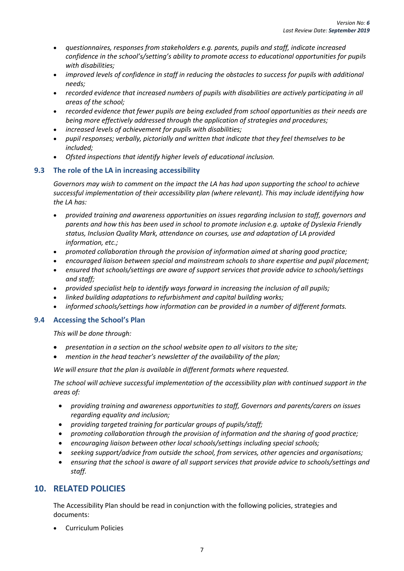- *questionnaires, responses from stakeholders e.g. parents, pupils and staff, indicate increased confidence in the school's/setting's ability to promote access to educational opportunities for pupils with disabilities;*
- *improved levels of confidence in staff in reducing the obstacles to success for pupils with additional needs;*
- *recorded evidence that increased numbers of pupils with disabilities are actively participating in all areas of the school;*
- *recorded evidence that fewer pupils are being excluded from school opportunities as their needs are being more effectively addressed through the application of strategies and procedures;*
- *increased levels of achievement for pupils with disabilities;*
- *pupil responses; verbally, pictorially and written that indicate that they feel themselves to be included;*
- *Ofsted inspections that identify higher levels of educational inclusion.*

#### <span id="page-10-0"></span>**9.3 The role of the LA in increasing accessibility**

*Governors may wish to comment on the impact the LA has had upon supporting the school to achieve successful implementation of their accessibility plan (where relevant). This may include identifying how the LA has:*

- *provided training and awareness opportunities on issues regarding inclusion to staff, governors and parents and how this has been used in school to promote inclusion e.g. uptake of Dyslexia Friendly status, Inclusion Quality Mark, attendance on courses, use and adaptation of LA provided information, etc.;*
- *promoted collaboration through the provision of information aimed at sharing good practice;*
- *encouraged liaison between special and mainstream schools to share expertise and pupil placement;*
- *ensured that schools/settings are aware of support services that provide advice to schools/settings and staff;*
- *provided specialist help to identify ways forward in increasing the inclusion of all pupils;*
- *linked building adaptations to refurbishment and capital building works;*
- *informed schools/settings how information can be provided in a number of different formats.*

#### <span id="page-10-1"></span>**9.4 Accessing the School's Plan**

*This will be done through:* 

- *presentation in a section on the school website open to all visitors to the site;*
- *mention in the head teacher's newsletter of the availability of the plan;*

*We will ensure that the plan is available in different formats where requested.* 

*The school will achieve successful implementation of the accessibility plan with continued support in the areas of:*

- *providing training and awareness opportunities to staff, Governors and parents/carers on issues regarding equality and inclusion;*
- *providing targeted training for particular groups of pupils/staff;*
- *promoting collaboration through the provision of information and the sharing of good practice;*
- *encouraging liaison between other local schools/settings including special schools;*
- *seeking support/advice from outside the school, from services, other agencies and organisations;*
- *ensuring that the school is aware of all support services that provide advice to schools/settings and staff.*

#### <span id="page-10-2"></span>**10. RELATED POLICIES**

The Accessibility Plan should be read in conjunction with the following policies, strategies and documents:

Curriculum Policies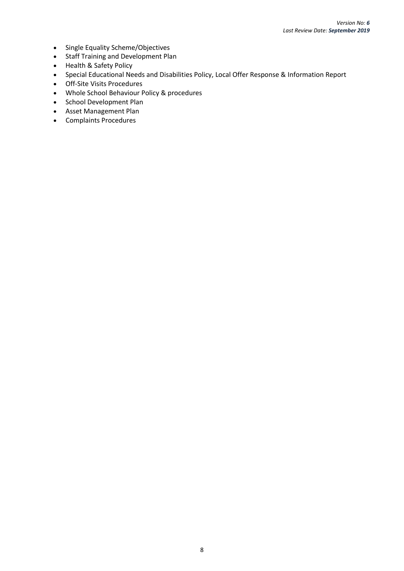- Single Equality Scheme/Objectives
- Staff Training and Development Plan
- Health & Safety Policy
- Special Educational Needs and Disabilities Policy, Local Offer Response & Information Report
- Off-Site Visits Procedures
- Whole School Behaviour Policy & procedures
- School Development Plan
- Asset Management Plan
- Complaints Procedures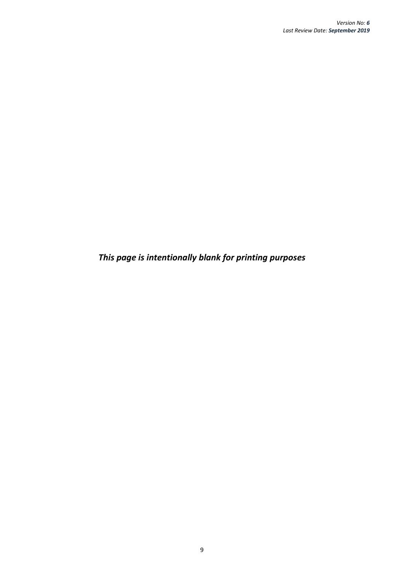*This page is intentionally blank for printing purposes*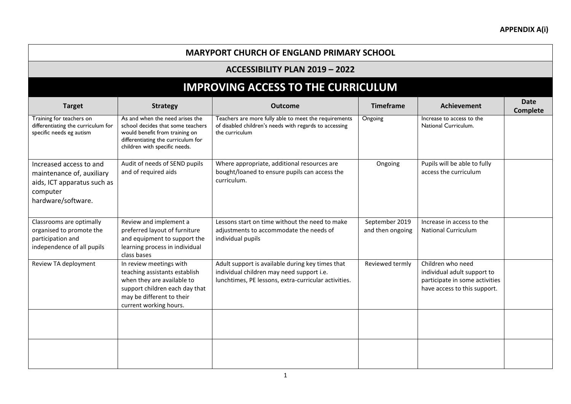#### **MARYPORT CHURCH OF ENGLAND PRIMARY SCHOOL**

#### **ACCESSIBILITY PLAN 2019 – 2022**

# **IMPROVING ACCESS TO THE CURRICULUM**

| <b>Target</b>                                                                                                         | <b>Strategy</b>                                                                                                                                                                 | <b>Outcome</b>                                                                                                                                        | <b>Timeframe</b>                   | <b>Achievement</b>                                                                                                 | <b>Date</b><br>Complete |
|-----------------------------------------------------------------------------------------------------------------------|---------------------------------------------------------------------------------------------------------------------------------------------------------------------------------|-------------------------------------------------------------------------------------------------------------------------------------------------------|------------------------------------|--------------------------------------------------------------------------------------------------------------------|-------------------------|
| Training for teachers on<br>differentiating the curriculum for<br>specific needs eg autism                            | As and when the need arises the<br>school decides that some teachers<br>would benefit from training on<br>differentiating the curriculum for<br>children with specific needs.   | Teachers are more fully able to meet the requirements<br>of disabled children's needs with regards to accessing<br>the curriculum                     | Ongoing                            | Increase to access to the<br>National Curriculum.                                                                  |                         |
| Increased access to and<br>maintenance of, auxiliary<br>aids, ICT apparatus such as<br>computer<br>hardware/software. | Audit of needs of SEND pupils<br>and of required aids                                                                                                                           | Where appropriate, additional resources are<br>bought/loaned to ensure pupils can access the<br>curriculum.                                           | Ongoing                            | Pupils will be able to fully<br>access the curriculum                                                              |                         |
| Classrooms are optimally<br>organised to promote the<br>participation and<br>independence of all pupils               | Review and implement a<br>preferred layout of furniture<br>and equipment to support the<br>learning process in individual<br>class bases                                        | Lessons start on time without the need to make<br>adjustments to accommodate the needs of<br>individual pupils                                        | September 2019<br>and then ongoing | Increase in access to the<br><b>National Curriculum</b>                                                            |                         |
| Review TA deployment                                                                                                  | In review meetings with<br>teaching assistants establish<br>when they are available to<br>support children each day that<br>may be different to their<br>current working hours. | Adult support is available during key times that<br>individual children may need support i.e.<br>lunchtimes, PE lessons, extra-curricular activities. | Reviewed termly                    | Children who need<br>individual adult support to<br>participate in some activities<br>have access to this support. |                         |
|                                                                                                                       |                                                                                                                                                                                 |                                                                                                                                                       |                                    |                                                                                                                    |                         |
|                                                                                                                       |                                                                                                                                                                                 |                                                                                                                                                       |                                    |                                                                                                                    |                         |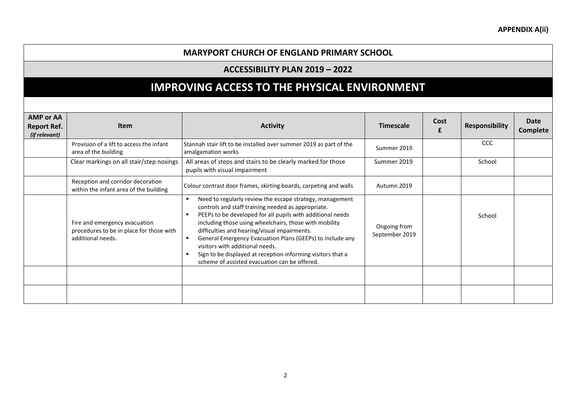#### **MARYPORT CHURCH OF ENGLAND PRIMARY SCHOOL**

#### **ACCESSIBILITY PLAN 2019 – 2022**

## **IMPROVING ACCESS TO THE PHYSICAL ENVIRONMENT**

| <b>AMP or AA</b><br><b>Report Ref.</b><br>(if relevant) | <b>Item</b>                                                                                    | <b>Activity</b>                                                                                                                                                                                                                                                                                                                                                                                                                                                                                        | <b>Timescale</b>               | Cost<br>£ | <b>Responsibility</b> | <b>Date</b><br><b>Complete</b> |
|---------------------------------------------------------|------------------------------------------------------------------------------------------------|--------------------------------------------------------------------------------------------------------------------------------------------------------------------------------------------------------------------------------------------------------------------------------------------------------------------------------------------------------------------------------------------------------------------------------------------------------------------------------------------------------|--------------------------------|-----------|-----------------------|--------------------------------|
|                                                         | Provision of a lift to access the infant<br>area of the building                               | Stannah stair lift to be installed over summer 2019 as part of the<br>amalgamation works                                                                                                                                                                                                                                                                                                                                                                                                               | Summer 2019                    |           | <b>CCC</b>            |                                |
|                                                         | Clear markings on all stair/step nosings                                                       | All areas of steps and stairs to be clearly marked for those<br>pupils with visual impairment                                                                                                                                                                                                                                                                                                                                                                                                          | Summer 2019                    |           | School                |                                |
|                                                         | Reception and corridor decoration<br>within the infant area of the building                    | Colour contrast door frames, skirting boards, carpeting and walls                                                                                                                                                                                                                                                                                                                                                                                                                                      | Autumn 2019                    |           |                       |                                |
|                                                         | Fire and emergency evacuation<br>procedures to be in place for those with<br>additional needs. | Need to regularly review the escape strategy, management<br>controls and staff training needed as appropriate.<br>PEEPs to be developed for all pupils with additional needs<br>including those using wheelchairs, those with mobility<br>difficulties and hearing/visual impairments.<br>General Emergency Evacuation Plans (GEEPs) to include any<br>visitors with additional needs.<br>Sign to be displayed at reception informing visitors that a<br>scheme of assisted evacuation can be offered. | Ongoing from<br>September 2019 |           | School                |                                |
|                                                         |                                                                                                |                                                                                                                                                                                                                                                                                                                                                                                                                                                                                                        |                                |           |                       |                                |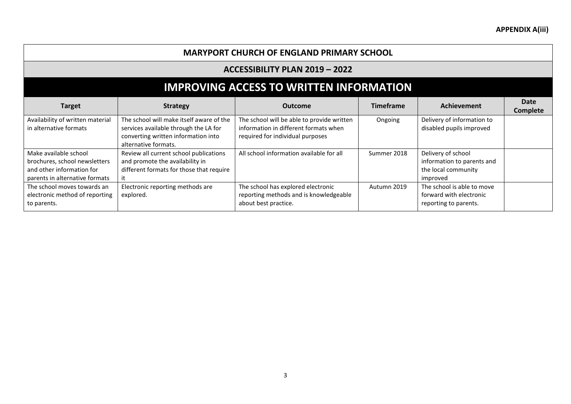#### **MARYPORT CHURCH OF ENGLAND PRIMARY SCHOOL**

#### **ACCESSIBILITY PLAN 2019 – 2022**

# **IMPROVING ACCESS TO WRITTEN INFORMATION**

| <b>Target</b>                                                                                                         | <b>Strategy</b>                                                                                                                                  | <b>Outcome</b>                                                                                                          | <b>Timeframe</b> | Achievement                                                                         | Date<br><b>Complete</b> |
|-----------------------------------------------------------------------------------------------------------------------|--------------------------------------------------------------------------------------------------------------------------------------------------|-------------------------------------------------------------------------------------------------------------------------|------------------|-------------------------------------------------------------------------------------|-------------------------|
| Availability of written material<br>in alternative formats                                                            | The school will make itself aware of the<br>services available through the LA for<br>converting written information into<br>alternative formats. | The school will be able to provide written<br>information in different formats when<br>required for individual purposes | Ongoing          | Delivery of information to<br>disabled pupils improved                              |                         |
| Make available school<br>brochures, school newsletters<br>and other information for<br>parents in alternative formats | Review all current school publications<br>and promote the availability in<br>different formats for those that require<br>ıt                      | All school information available for all                                                                                | Summer 2018      | Delivery of school<br>information to parents and<br>the local community<br>improved |                         |
| The school moves towards an<br>electronic method of reporting<br>to parents.                                          | Electronic reporting methods are<br>explored.                                                                                                    | The school has explored electronic<br>reporting methods and is knowledgeable<br>about best practice.                    | Autumn 2019      | The school is able to move<br>forward with electronic<br>reporting to parents.      |                         |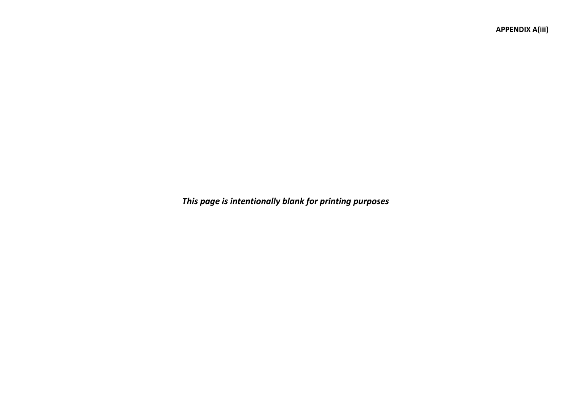**APPENDIX A(iii)**

*This page is intentionally blank for printing purposes*